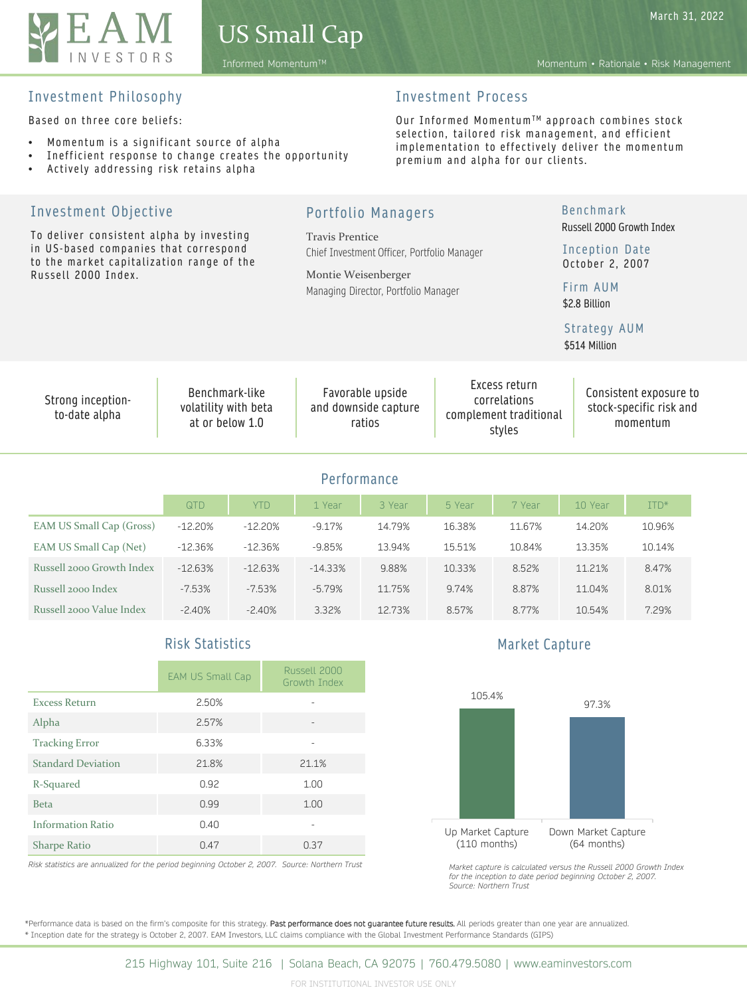

#### Informed MomentumTM Momentum • Rationale • Risk Management

#### Investment Philosophy

Based on three core beliefs:

- Momentum is a significant source of alpha
- Inefficient response to change creates the opportunity
- Actively addressing risk retains alpha

### Investment Process

Our Informed Momentum™ approach combines stock selection, tailored risk management, and efficient implementation to effectively deliver the momentum premium and alpha for our clients.

Investment Objective

To deliver consistent alpha by investing in US-based companies that correspond to the market capitalization range of the Russell 2000 Index.

#### Portfolio Managers

Travis Prentice Chief Investment Officer, Portfolio Manager

Montie Weisenberger Managing Director, Portfolio Manager

## Benchmark

Russell 2000 Growth Index

Inception Date October 2, 2007

Firm AUM \$2.8 Billion

### Strategy AUM

\$514 Million

| Strong inception-<br>to-date alpha | Benchmark-like<br>volatility with beta<br>at or below 1.0 | Favorable upside<br>and downside capture<br>ratios | Excess return<br>correlations<br>complement traditional<br>styles | Consistent exposure to<br>stock-specific risk and<br>momentum |
|------------------------------------|-----------------------------------------------------------|----------------------------------------------------|-------------------------------------------------------------------|---------------------------------------------------------------|
|                                    |                                                           | Performance                                        |                                                                   |                                                               |

| 1 <b>UITUITIUI</b>        |           |            |           |        |        |        |         |        |
|---------------------------|-----------|------------|-----------|--------|--------|--------|---------|--------|
|                           | QTD       | <b>YTD</b> | 1 Year    | 3 Year | 5 Year | 7 Year | 10 Year | ITD*   |
| EAM US Small Cap (Gross)  | $-12.20%$ | $-12.20\%$ | -9.17%    | 14.79% | 16.38% | 11.67% | 14.20%  | 10.96% |
| EAM US Small Cap (Net)    | $-12.36%$ | $-12.36%$  | $-9.85%$  | 13.94% | 15.51% | 10.84% | 13.35%  | 10.14% |
| Russell 2000 Growth Index | $-12.63%$ | $-12.63%$  | $-14.33%$ | 9.88%  | 10.33% | 8.52%  | 11.21%  | 8.47%  |
| Russell 2000 Index        | $-7.53%$  | $-7.53%$   | $-5.79%$  | 11.75% | 9.74%  | 8.87%  | 11.04%  | 8.01%  |
| Russell 2000 Value Index  | $-2.40%$  | $-2.40%$   | 3.32%     | 12.73% | 8.57%  | 8.77%  | 10.54%  | 7.29%  |

# Risk Statistics

|                           | <b>EAM US Small Cap</b> | Russell 2000<br>Growth Index |
|---------------------------|-------------------------|------------------------------|
| <b>Excess Return</b>      | 2.50%                   |                              |
| Alpha                     | 2.57%                   |                              |
| <b>Tracking Error</b>     | 6.33%                   |                              |
| <b>Standard Deviation</b> | 21.8%                   | 21.1%                        |
| R-Squared                 | 0.92                    | 1.00                         |
| <b>Beta</b>               | 0.99                    | 1.00                         |
| <b>Information Ratio</b>  | 0.40                    |                              |
| <b>Sharpe Ratio</b>       | 0.47                    | 0.37                         |

*Risk statistics are annualized for the period beginning October 2, 2007. Source: Northern Trust*

Market Capture



*Market capture is calculated versus the Russell 2000 Growth Index*  for the inception to date period beginning October 2, 2007. *Source: Northern Trust*

\*Performance data is based on the firm's composite for this strategy. Past performance does not guarantee future results. All periods greater than one year are annualized. \* Inception date for the strategy is October 2, 2007. EAM Investors, LLC claims compliance with the Global Investment Performance Standards (GIPS)